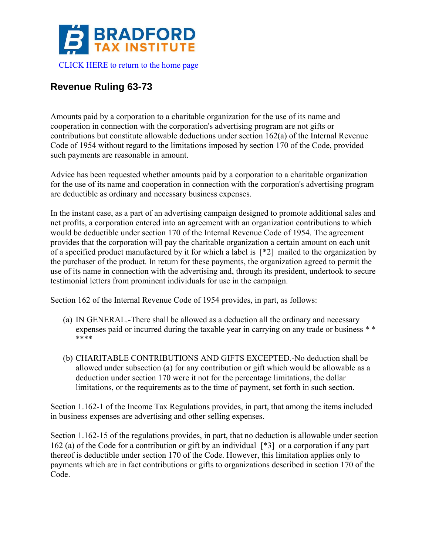

## **Revenue Ruling 63-73**

Amounts paid by a corporation to a charitable organization for the use of its name and cooperation in connection with the corporation's advertising program are not gifts or contributions but constitute allowable deductions under section 162(a) of the Internal Revenue Code of 1954 without regard to the limitations imposed by section 170 of the Code, provided such payments are reasonable in amount.

Advice has been requested whether amounts paid by a corporation to a charitable organization for the use of its name and cooperation in connection with the corporation's advertising program are deductible as ordinary and necessary business expenses.

In the instant case, as a part of an advertising campaign designed to promote additional sales and net profits, a corporation entered into an agreement with an organization contributions to which would be deductible under section 170 of the Internal Revenue Code of 1954. The agreement provides that the corporation will pay the charitable organization a certain amount on each unit of a specified product manufactured by it for which a label is [\*2] mailed to the organization by the purchaser of the product. In return for these payments, the organization agreed to permit the use of its name in connection with the advertising and, through its president, undertook to secure testimonial letters from prominent individuals for use in the campaign.

Section 162 of the Internal Revenue Code of 1954 provides, in part, as follows:

- (a) IN GENERAL.-There shall be allowed as a deduction all the ordinary and necessary expenses paid or incurred during the taxable year in carrying on any trade or business  $**$ \*\*\*\*
- (b) CHARITABLE CONTRIBUTIONS AND GIFTS EXCEPTED.-No deduction shall be allowed under subsection (a) for any contribution or gift which would be allowable as a deduction under section 170 were it not for the percentage limitations, the dollar limitations, or the requirements as to the time of payment, set forth in such section.

Section 1.162-1 of the Income Tax Regulations provides, in part, that among the items included in business expenses are advertising and other selling expenses.

Section 1.162-15 of the regulations provides, in part, that no deduction is allowable under section 162 (a) of the Code for a contribution or gift by an individual [\*3] or a corporation if any part thereof is deductible under section 170 of the Code. However, this limitation applies only to payments which are in fact contributions or gifts to organizations described in section 170 of the Code.